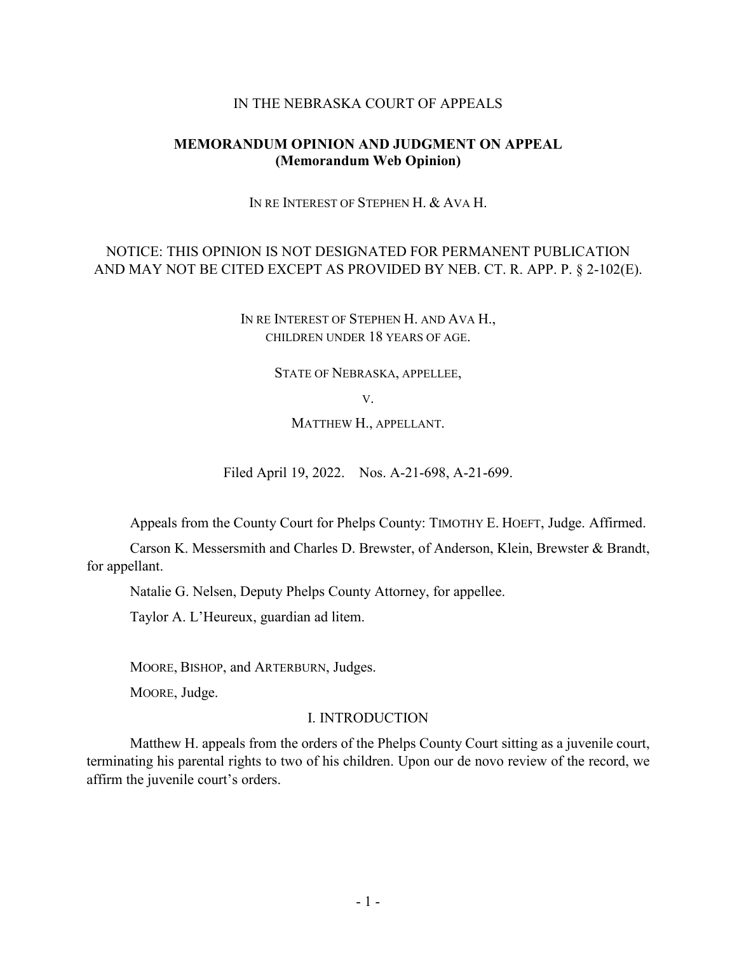### IN THE NEBRASKA COURT OF APPEALS

## **MEMORANDUM OPINION AND JUDGMENT ON APPEAL (Memorandum Web Opinion)**

IN RE INTEREST OF STEPHEN H. & AVA H.

# NOTICE: THIS OPINION IS NOT DESIGNATED FOR PERMANENT PUBLICATION AND MAY NOT BE CITED EXCEPT AS PROVIDED BY NEB. CT. R. APP. P. § 2-102(E).

IN RE INTEREST OF STEPHEN H. AND AVA H., CHILDREN UNDER 18 YEARS OF AGE.

STATE OF NEBRASKA, APPELLEE,

V.

MATTHEW H., APPELLANT.

Filed April 19, 2022. Nos. A-21-698, A-21-699.

Appeals from the County Court for Phelps County: TIMOTHY E. HOEFT, Judge. Affirmed.

Carson K. Messersmith and Charles D. Brewster, of Anderson, Klein, Brewster & Brandt, for appellant.

Natalie G. Nelsen, Deputy Phelps County Attorney, for appellee.

Taylor A. L'Heureux, guardian ad litem.

MOORE, BISHOP, and ARTERBURN, Judges.

MOORE, Judge.

## I. INTRODUCTION

Matthew H. appeals from the orders of the Phelps County Court sitting as a juvenile court, terminating his parental rights to two of his children. Upon our de novo review of the record, we affirm the juvenile court's orders.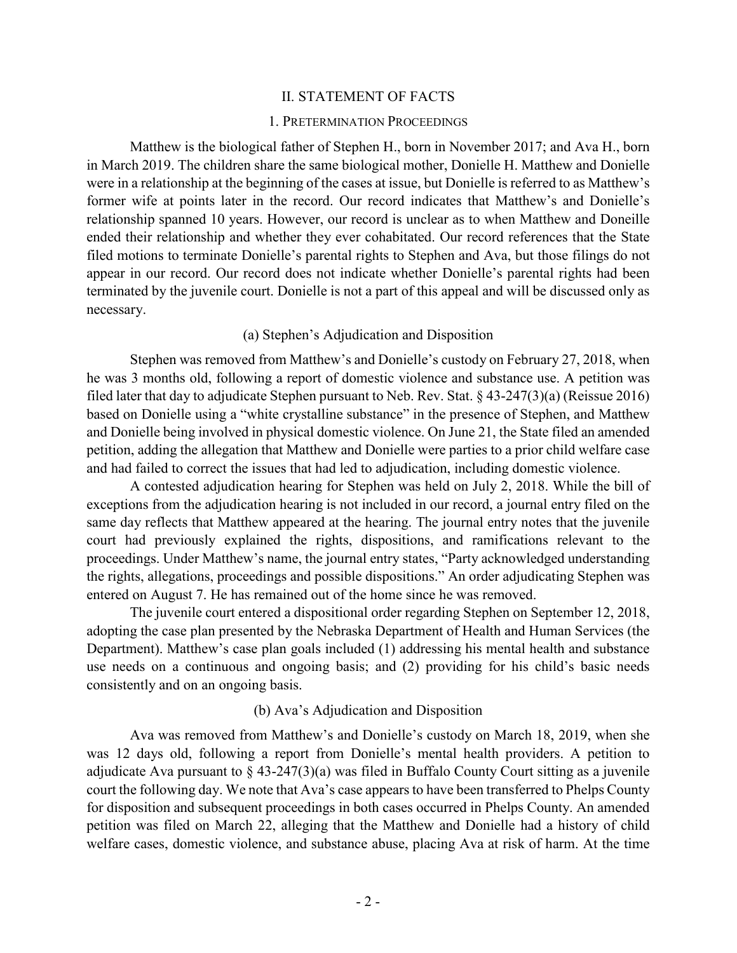#### II. STATEMENT OF FACTS

#### 1. PRETERMINATION PROCEEDINGS

Matthew is the biological father of Stephen H., born in November 2017; and Ava H., born in March 2019. The children share the same biological mother, Donielle H. Matthew and Donielle were in a relationship at the beginning of the cases at issue, but Donielle is referred to as Matthew's former wife at points later in the record. Our record indicates that Matthew's and Donielle's relationship spanned 10 years. However, our record is unclear as to when Matthew and Doneille ended their relationship and whether they ever cohabitated. Our record references that the State filed motions to terminate Donielle's parental rights to Stephen and Ava, but those filings do not appear in our record. Our record does not indicate whether Donielle's parental rights had been terminated by the juvenile court. Donielle is not a part of this appeal and will be discussed only as necessary.

#### (a) Stephen's Adjudication and Disposition

Stephen was removed from Matthew's and Donielle's custody on February 27, 2018, when he was 3 months old, following a report of domestic violence and substance use. A petition was filed later that day to adjudicate Stephen pursuant to Neb. Rev. Stat. § 43-247(3)(a) (Reissue 2016) based on Donielle using a "white crystalline substance" in the presence of Stephen, and Matthew and Donielle being involved in physical domestic violence. On June 21, the State filed an amended petition, adding the allegation that Matthew and Donielle were parties to a prior child welfare case and had failed to correct the issues that had led to adjudication, including domestic violence.

A contested adjudication hearing for Stephen was held on July 2, 2018. While the bill of exceptions from the adjudication hearing is not included in our record, a journal entry filed on the same day reflects that Matthew appeared at the hearing. The journal entry notes that the juvenile court had previously explained the rights, dispositions, and ramifications relevant to the proceedings. Under Matthew's name, the journal entry states, "Party acknowledged understanding the rights, allegations, proceedings and possible dispositions." An order adjudicating Stephen was entered on August 7. He has remained out of the home since he was removed.

The juvenile court entered a dispositional order regarding Stephen on September 12, 2018, adopting the case plan presented by the Nebraska Department of Health and Human Services (the Department). Matthew's case plan goals included (1) addressing his mental health and substance use needs on a continuous and ongoing basis; and (2) providing for his child's basic needs consistently and on an ongoing basis.

#### (b) Ava's Adjudication and Disposition

Ava was removed from Matthew's and Donielle's custody on March 18, 2019, when she was 12 days old, following a report from Donielle's mental health providers. A petition to adjudicate Ava pursuant to  $\S$  43-247(3)(a) was filed in Buffalo County Court sitting as a juvenile court the following day. We note that Ava's case appears to have been transferred to Phelps County for disposition and subsequent proceedings in both cases occurred in Phelps County. An amended petition was filed on March 22, alleging that the Matthew and Donielle had a history of child welfare cases, domestic violence, and substance abuse, placing Ava at risk of harm. At the time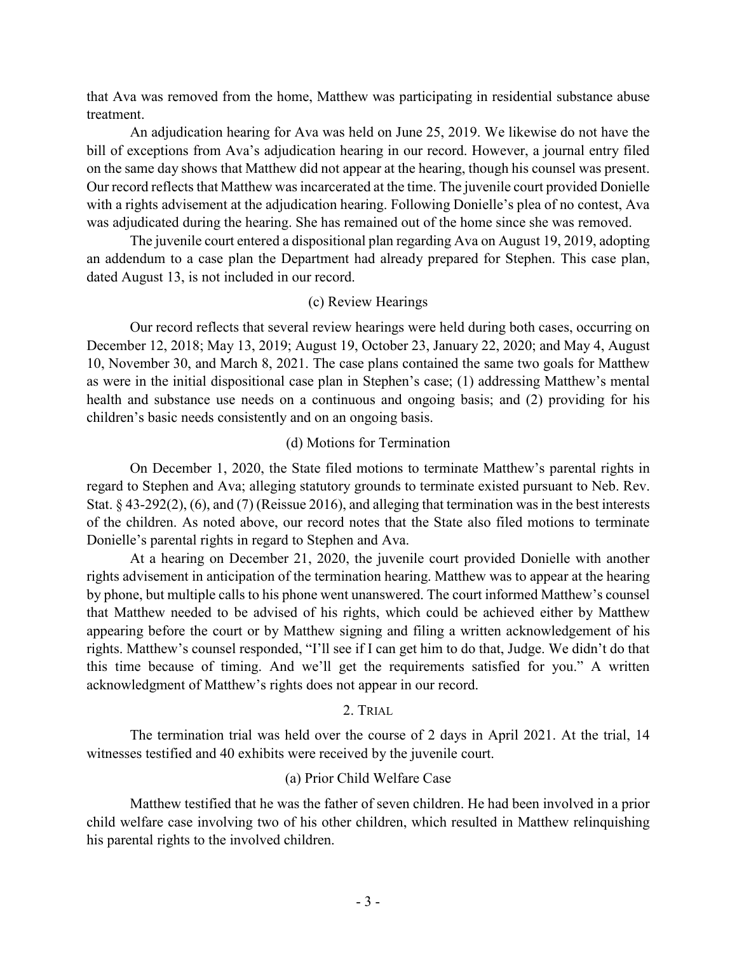that Ava was removed from the home, Matthew was participating in residential substance abuse treatment.

An adjudication hearing for Ava was held on June 25, 2019. We likewise do not have the bill of exceptions from Ava's adjudication hearing in our record. However, a journal entry filed on the same day shows that Matthew did not appear at the hearing, though his counsel was present. Our record reflects that Matthew was incarcerated at the time. The juvenile court provided Donielle with a rights advisement at the adjudication hearing. Following Donielle's plea of no contest, Ava was adjudicated during the hearing. She has remained out of the home since she was removed.

The juvenile court entered a dispositional plan regarding Ava on August 19, 2019, adopting an addendum to a case plan the Department had already prepared for Stephen. This case plan, dated August 13, is not included in our record.

## (c) Review Hearings

Our record reflects that several review hearings were held during both cases, occurring on December 12, 2018; May 13, 2019; August 19, October 23, January 22, 2020; and May 4, August 10, November 30, and March 8, 2021. The case plans contained the same two goals for Matthew as were in the initial dispositional case plan in Stephen's case; (1) addressing Matthew's mental health and substance use needs on a continuous and ongoing basis; and (2) providing for his children's basic needs consistently and on an ongoing basis.

## (d) Motions for Termination

On December 1, 2020, the State filed motions to terminate Matthew's parental rights in regard to Stephen and Ava; alleging statutory grounds to terminate existed pursuant to Neb. Rev. Stat. § 43-292(2), (6), and (7) (Reissue 2016), and alleging that termination was in the best interests of the children. As noted above, our record notes that the State also filed motions to terminate Donielle's parental rights in regard to Stephen and Ava.

At a hearing on December 21, 2020, the juvenile court provided Donielle with another rights advisement in anticipation of the termination hearing. Matthew was to appear at the hearing by phone, but multiple calls to his phone went unanswered. The court informed Matthew's counsel that Matthew needed to be advised of his rights, which could be achieved either by Matthew appearing before the court or by Matthew signing and filing a written acknowledgement of his rights. Matthew's counsel responded, "I'll see if I can get him to do that, Judge. We didn't do that this time because of timing. And we'll get the requirements satisfied for you." A written acknowledgment of Matthew's rights does not appear in our record.

## 2. TRIAL

The termination trial was held over the course of 2 days in April 2021. At the trial, 14 witnesses testified and 40 exhibits were received by the juvenile court.

## (a) Prior Child Welfare Case

Matthew testified that he was the father of seven children. He had been involved in a prior child welfare case involving two of his other children, which resulted in Matthew relinquishing his parental rights to the involved children.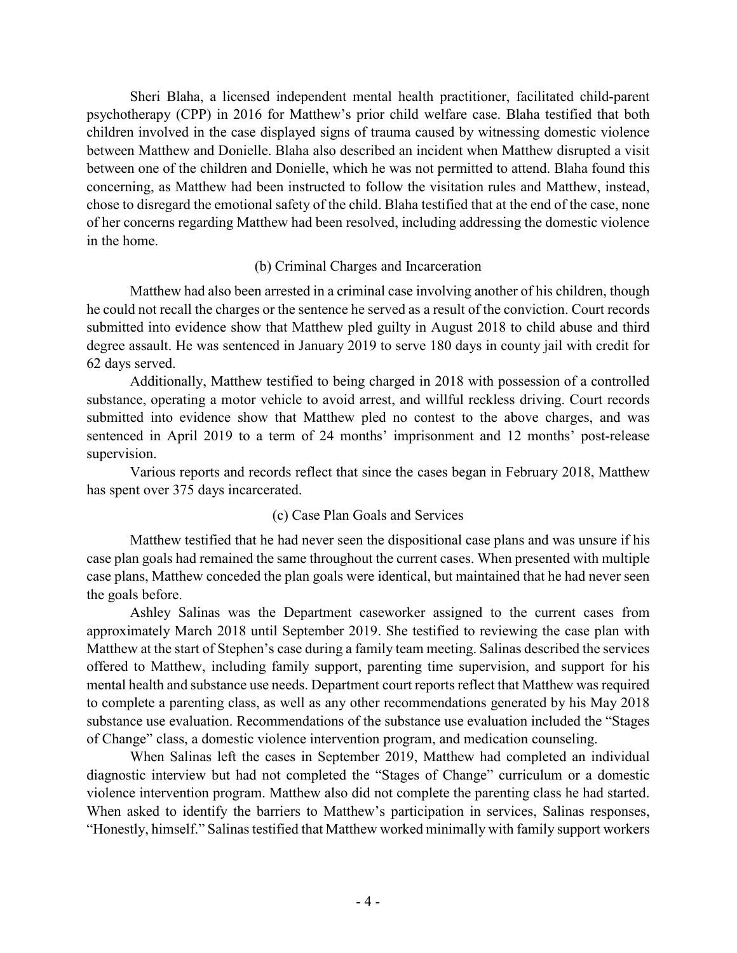Sheri Blaha, a licensed independent mental health practitioner, facilitated child-parent psychotherapy (CPP) in 2016 for Matthew's prior child welfare case. Blaha testified that both children involved in the case displayed signs of trauma caused by witnessing domestic violence between Matthew and Donielle. Blaha also described an incident when Matthew disrupted a visit between one of the children and Donielle, which he was not permitted to attend. Blaha found this concerning, as Matthew had been instructed to follow the visitation rules and Matthew, instead, chose to disregard the emotional safety of the child. Blaha testified that at the end of the case, none of her concerns regarding Matthew had been resolved, including addressing the domestic violence in the home.

## (b) Criminal Charges and Incarceration

Matthew had also been arrested in a criminal case involving another of his children, though he could not recall the charges or the sentence he served as a result of the conviction. Court records submitted into evidence show that Matthew pled guilty in August 2018 to child abuse and third degree assault. He was sentenced in January 2019 to serve 180 days in county jail with credit for 62 days served.

Additionally, Matthew testified to being charged in 2018 with possession of a controlled substance, operating a motor vehicle to avoid arrest, and willful reckless driving. Court records submitted into evidence show that Matthew pled no contest to the above charges, and was sentenced in April 2019 to a term of 24 months' imprisonment and 12 months' post-release supervision.

Various reports and records reflect that since the cases began in February 2018, Matthew has spent over 375 days incarcerated.

# (c) Case Plan Goals and Services

Matthew testified that he had never seen the dispositional case plans and was unsure if his case plan goals had remained the same throughout the current cases. When presented with multiple case plans, Matthew conceded the plan goals were identical, but maintained that he had never seen the goals before.

Ashley Salinas was the Department caseworker assigned to the current cases from approximately March 2018 until September 2019. She testified to reviewing the case plan with Matthew at the start of Stephen's case during a family team meeting. Salinas described the services offered to Matthew, including family support, parenting time supervision, and support for his mental health and substance use needs. Department court reports reflect that Matthew was required to complete a parenting class, as well as any other recommendations generated by his May 2018 substance use evaluation. Recommendations of the substance use evaluation included the "Stages of Change" class, a domestic violence intervention program, and medication counseling.

When Salinas left the cases in September 2019, Matthew had completed an individual diagnostic interview but had not completed the "Stages of Change" curriculum or a domestic violence intervention program. Matthew also did not complete the parenting class he had started. When asked to identify the barriers to Matthew's participation in services, Salinas responses, "Honestly, himself." Salinas testified that Matthew worked minimally with family support workers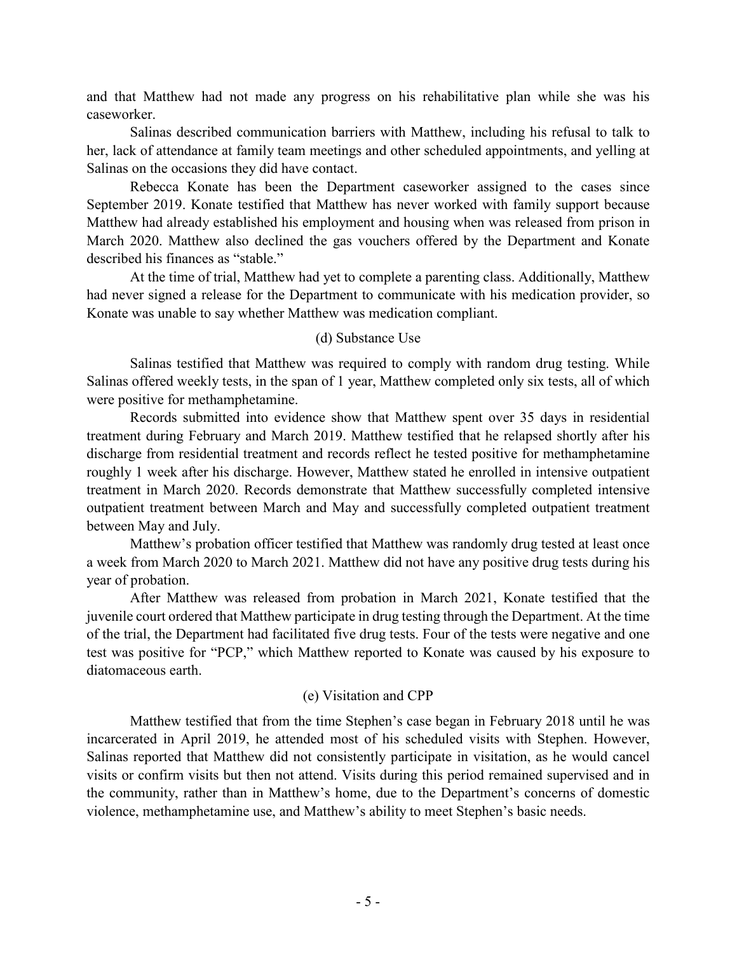and that Matthew had not made any progress on his rehabilitative plan while she was his caseworker.

Salinas described communication barriers with Matthew, including his refusal to talk to her, lack of attendance at family team meetings and other scheduled appointments, and yelling at Salinas on the occasions they did have contact.

Rebecca Konate has been the Department caseworker assigned to the cases since September 2019. Konate testified that Matthew has never worked with family support because Matthew had already established his employment and housing when was released from prison in March 2020. Matthew also declined the gas vouchers offered by the Department and Konate described his finances as "stable."

At the time of trial, Matthew had yet to complete a parenting class. Additionally, Matthew had never signed a release for the Department to communicate with his medication provider, so Konate was unable to say whether Matthew was medication compliant.

## (d) Substance Use

Salinas testified that Matthew was required to comply with random drug testing. While Salinas offered weekly tests, in the span of 1 year, Matthew completed only six tests, all of which were positive for methamphetamine.

Records submitted into evidence show that Matthew spent over 35 days in residential treatment during February and March 2019. Matthew testified that he relapsed shortly after his discharge from residential treatment and records reflect he tested positive for methamphetamine roughly 1 week after his discharge. However, Matthew stated he enrolled in intensive outpatient treatment in March 2020. Records demonstrate that Matthew successfully completed intensive outpatient treatment between March and May and successfully completed outpatient treatment between May and July.

Matthew's probation officer testified that Matthew was randomly drug tested at least once a week from March 2020 to March 2021. Matthew did not have any positive drug tests during his year of probation.

After Matthew was released from probation in March 2021, Konate testified that the juvenile court ordered that Matthew participate in drug testing through the Department. At the time of the trial, the Department had facilitated five drug tests. Four of the tests were negative and one test was positive for "PCP," which Matthew reported to Konate was caused by his exposure to diatomaceous earth.

# (e) Visitation and CPP

Matthew testified that from the time Stephen's case began in February 2018 until he was incarcerated in April 2019, he attended most of his scheduled visits with Stephen. However, Salinas reported that Matthew did not consistently participate in visitation, as he would cancel visits or confirm visits but then not attend. Visits during this period remained supervised and in the community, rather than in Matthew's home, due to the Department's concerns of domestic violence, methamphetamine use, and Matthew's ability to meet Stephen's basic needs.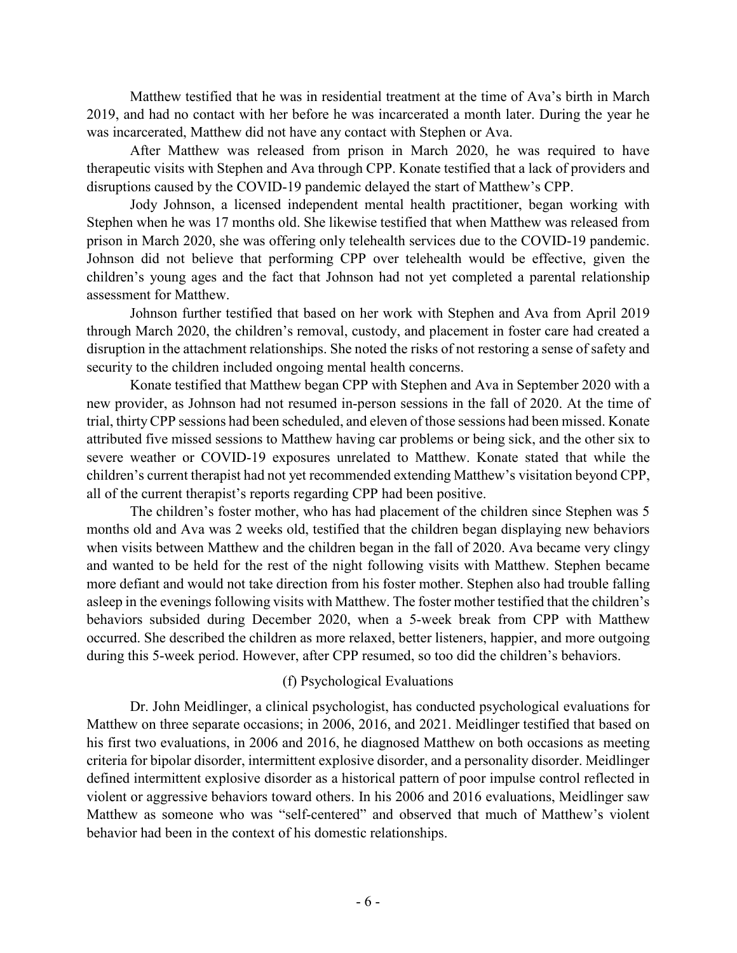Matthew testified that he was in residential treatment at the time of Ava's birth in March 2019, and had no contact with her before he was incarcerated a month later. During the year he was incarcerated, Matthew did not have any contact with Stephen or Ava.

After Matthew was released from prison in March 2020, he was required to have therapeutic visits with Stephen and Ava through CPP. Konate testified that a lack of providers and disruptions caused by the COVID-19 pandemic delayed the start of Matthew's CPP.

Jody Johnson, a licensed independent mental health practitioner, began working with Stephen when he was 17 months old. She likewise testified that when Matthew was released from prison in March 2020, she was offering only telehealth services due to the COVID-19 pandemic. Johnson did not believe that performing CPP over telehealth would be effective, given the children's young ages and the fact that Johnson had not yet completed a parental relationship assessment for Matthew.

Johnson further testified that based on her work with Stephen and Ava from April 2019 through March 2020, the children's removal, custody, and placement in foster care had created a disruption in the attachment relationships. She noted the risks of not restoring a sense of safety and security to the children included ongoing mental health concerns.

Konate testified that Matthew began CPP with Stephen and Ava in September 2020 with a new provider, as Johnson had not resumed in-person sessions in the fall of 2020. At the time of trial, thirty CPP sessions had been scheduled, and eleven of those sessions had been missed. Konate attributed five missed sessions to Matthew having car problems or being sick, and the other six to severe weather or COVID-19 exposures unrelated to Matthew. Konate stated that while the children's current therapist had not yet recommended extending Matthew's visitation beyond CPP, all of the current therapist's reports regarding CPP had been positive.

The children's foster mother, who has had placement of the children since Stephen was 5 months old and Ava was 2 weeks old, testified that the children began displaying new behaviors when visits between Matthew and the children began in the fall of 2020. Ava became very clingy and wanted to be held for the rest of the night following visits with Matthew. Stephen became more defiant and would not take direction from his foster mother. Stephen also had trouble falling asleep in the evenings following visits with Matthew. The foster mother testified that the children's behaviors subsided during December 2020, when a 5-week break from CPP with Matthew occurred. She described the children as more relaxed, better listeners, happier, and more outgoing during this 5-week period. However, after CPP resumed, so too did the children's behaviors.

## (f) Psychological Evaluations

Dr. John Meidlinger, a clinical psychologist, has conducted psychological evaluations for Matthew on three separate occasions; in 2006, 2016, and 2021. Meidlinger testified that based on his first two evaluations, in 2006 and 2016, he diagnosed Matthew on both occasions as meeting criteria for bipolar disorder, intermittent explosive disorder, and a personality disorder. Meidlinger defined intermittent explosive disorder as a historical pattern of poor impulse control reflected in violent or aggressive behaviors toward others. In his 2006 and 2016 evaluations, Meidlinger saw Matthew as someone who was "self-centered" and observed that much of Matthew's violent behavior had been in the context of his domestic relationships.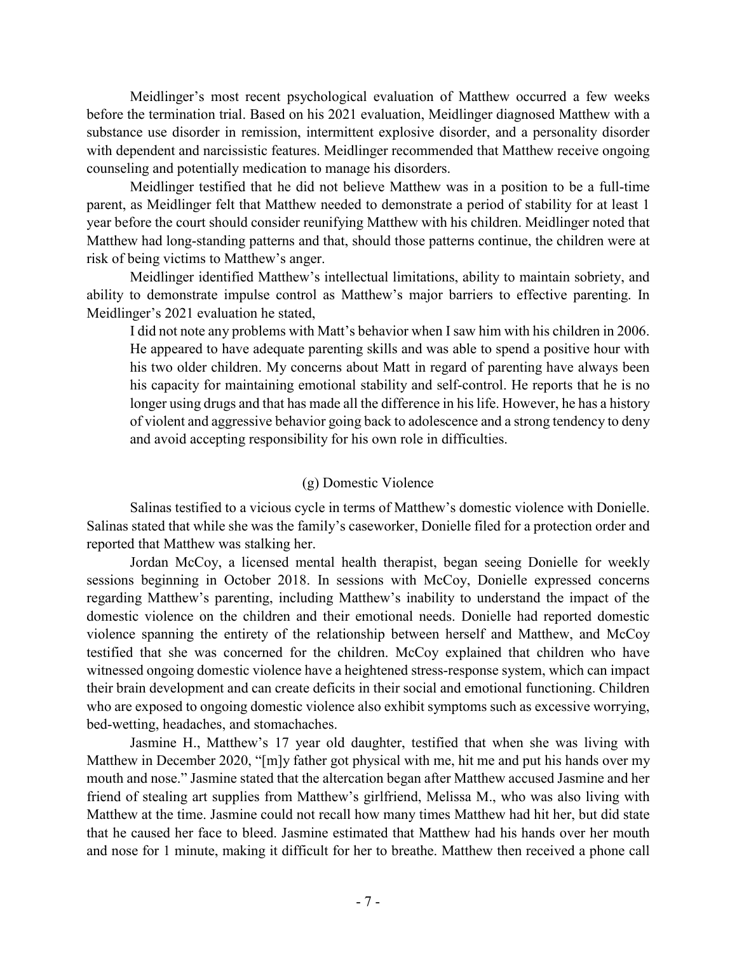Meidlinger's most recent psychological evaluation of Matthew occurred a few weeks before the termination trial. Based on his 2021 evaluation, Meidlinger diagnosed Matthew with a substance use disorder in remission, intermittent explosive disorder, and a personality disorder with dependent and narcissistic features. Meidlinger recommended that Matthew receive ongoing counseling and potentially medication to manage his disorders.

Meidlinger testified that he did not believe Matthew was in a position to be a full-time parent, as Meidlinger felt that Matthew needed to demonstrate a period of stability for at least 1 year before the court should consider reunifying Matthew with his children. Meidlinger noted that Matthew had long-standing patterns and that, should those patterns continue, the children were at risk of being victims to Matthew's anger.

Meidlinger identified Matthew's intellectual limitations, ability to maintain sobriety, and ability to demonstrate impulse control as Matthew's major barriers to effective parenting. In Meidlinger's 2021 evaluation he stated,

I did not note any problems with Matt's behavior when I saw him with his children in 2006. He appeared to have adequate parenting skills and was able to spend a positive hour with his two older children. My concerns about Matt in regard of parenting have always been his capacity for maintaining emotional stability and self-control. He reports that he is no longer using drugs and that has made all the difference in his life. However, he has a history of violent and aggressive behavior going back to adolescence and a strong tendency to deny and avoid accepting responsibility for his own role in difficulties.

# (g) Domestic Violence

Salinas testified to a vicious cycle in terms of Matthew's domestic violence with Donielle. Salinas stated that while she was the family's caseworker, Donielle filed for a protection order and reported that Matthew was stalking her.

Jordan McCoy, a licensed mental health therapist, began seeing Donielle for weekly sessions beginning in October 2018. In sessions with McCoy, Donielle expressed concerns regarding Matthew's parenting, including Matthew's inability to understand the impact of the domestic violence on the children and their emotional needs. Donielle had reported domestic violence spanning the entirety of the relationship between herself and Matthew, and McCoy testified that she was concerned for the children. McCoy explained that children who have witnessed ongoing domestic violence have a heightened stress-response system, which can impact their brain development and can create deficits in their social and emotional functioning. Children who are exposed to ongoing domestic violence also exhibit symptoms such as excessive worrying, bed-wetting, headaches, and stomachaches.

Jasmine H., Matthew's 17 year old daughter, testified that when she was living with Matthew in December 2020, "[m]y father got physical with me, hit me and put his hands over my mouth and nose." Jasmine stated that the altercation began after Matthew accused Jasmine and her friend of stealing art supplies from Matthew's girlfriend, Melissa M., who was also living with Matthew at the time. Jasmine could not recall how many times Matthew had hit her, but did state that he caused her face to bleed. Jasmine estimated that Matthew had his hands over her mouth and nose for 1 minute, making it difficult for her to breathe. Matthew then received a phone call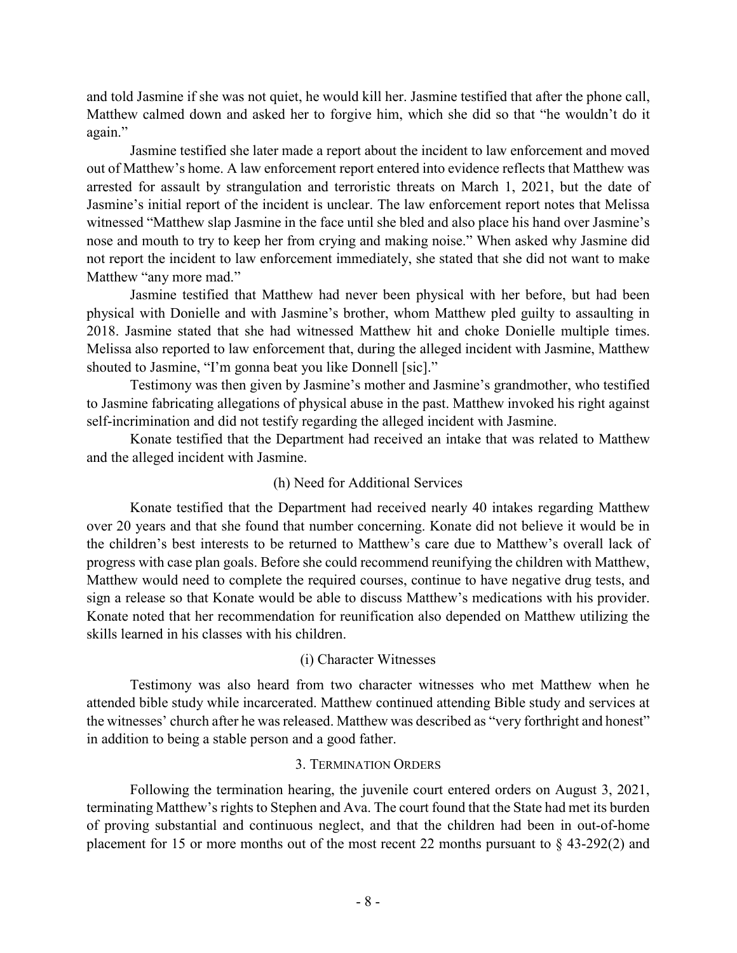and told Jasmine if she was not quiet, he would kill her. Jasmine testified that after the phone call, Matthew calmed down and asked her to forgive him, which she did so that "he wouldn't do it again."

Jasmine testified she later made a report about the incident to law enforcement and moved out of Matthew's home. A law enforcement report entered into evidence reflects that Matthew was arrested for assault by strangulation and terroristic threats on March 1, 2021, but the date of Jasmine's initial report of the incident is unclear. The law enforcement report notes that Melissa witnessed "Matthew slap Jasmine in the face until she bled and also place his hand over Jasmine's nose and mouth to try to keep her from crying and making noise." When asked why Jasmine did not report the incident to law enforcement immediately, she stated that she did not want to make Matthew "any more mad."

Jasmine testified that Matthew had never been physical with her before, but had been physical with Donielle and with Jasmine's brother, whom Matthew pled guilty to assaulting in 2018. Jasmine stated that she had witnessed Matthew hit and choke Donielle multiple times. Melissa also reported to law enforcement that, during the alleged incident with Jasmine, Matthew shouted to Jasmine, "I'm gonna beat you like Donnell [sic]."

Testimony was then given by Jasmine's mother and Jasmine's grandmother, who testified to Jasmine fabricating allegations of physical abuse in the past. Matthew invoked his right against self-incrimination and did not testify regarding the alleged incident with Jasmine.

Konate testified that the Department had received an intake that was related to Matthew and the alleged incident with Jasmine.

# (h) Need for Additional Services

Konate testified that the Department had received nearly 40 intakes regarding Matthew over 20 years and that she found that number concerning. Konate did not believe it would be in the children's best interests to be returned to Matthew's care due to Matthew's overall lack of progress with case plan goals. Before she could recommend reunifying the children with Matthew, Matthew would need to complete the required courses, continue to have negative drug tests, and sign a release so that Konate would be able to discuss Matthew's medications with his provider. Konate noted that her recommendation for reunification also depended on Matthew utilizing the skills learned in his classes with his children.

# (i) Character Witnesses

Testimony was also heard from two character witnesses who met Matthew when he attended bible study while incarcerated. Matthew continued attending Bible study and services at the witnesses' church after he was released. Matthew was described as "very forthright and honest" in addition to being a stable person and a good father.

# 3. TERMINATION ORDERS

Following the termination hearing, the juvenile court entered orders on August 3, 2021, terminating Matthew's rights to Stephen and Ava. The court found that the State had met its burden of proving substantial and continuous neglect, and that the children had been in out-of-home placement for 15 or more months out of the most recent 22 months pursuant to § 43-292(2) and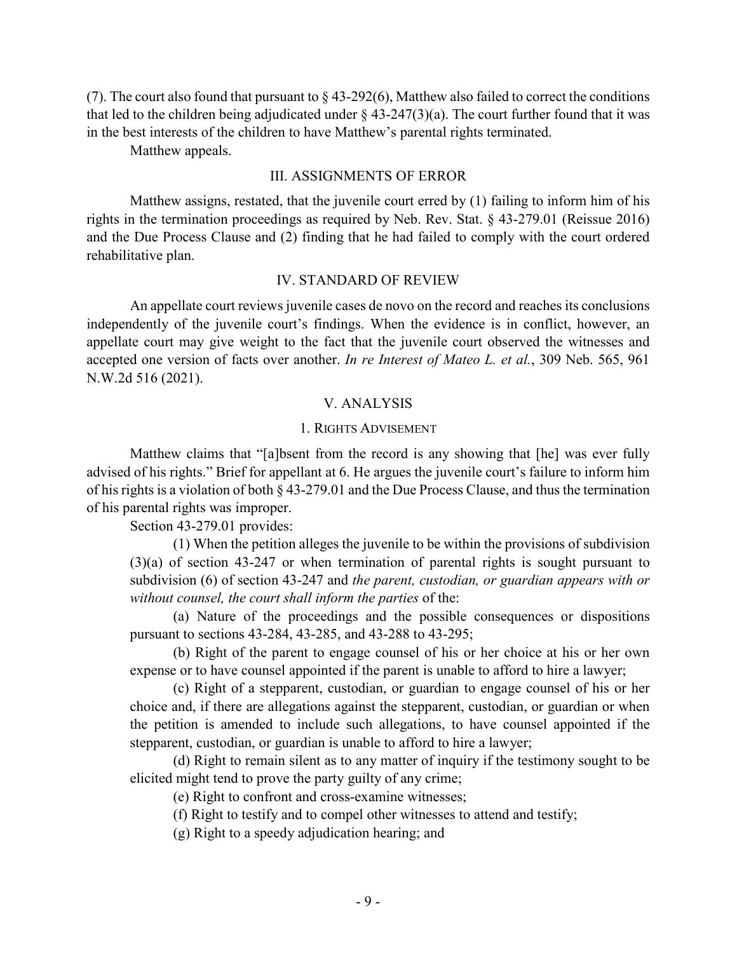(7). The court also found that pursuant to  $\S$  43-292(6), Matthew also failed to correct the conditions that led to the children being adjudicated under  $\S$  43-247(3)(a). The court further found that it was in the best interests of the children to have Matthew's parental rights terminated.

Matthew appeals.

#### III. ASSIGNMENTS OF ERROR

Matthew assigns, restated, that the juvenile court erred by (1) failing to inform him of his rights in the termination proceedings as required by Neb. Rev. Stat. § 43-279.01 (Reissue 2016) and the Due Process Clause and (2) finding that he had failed to comply with the court ordered rehabilitative plan.

#### IV. STANDARD OF REVIEW

An appellate court reviews juvenile cases de novo on the record and reaches its conclusions independently of the juvenile court's findings. When the evidence is in conflict, however, an appellate court may give weight to the fact that the juvenile court observed the witnesses and accepted one version of facts over another. *In re Interest of Mateo L. et al.*, 309 Neb. 565, 961 N.W.2d 516 (2021).

#### V. ANALYSIS

#### 1. RIGHTS ADVISEMENT

Matthew claims that "[a]bsent from the record is any showing that [he] was ever fully advised of his rights." Brief for appellant at 6. He argues the juvenile court's failure to inform him of his rights is a violation of both § 43-279.01 and the Due Process Clause, and thus the termination of his parental rights was improper.

Section 43-279.01 provides:

(1) When the petition alleges the juvenile to be within the provisions of subdivision (3)(a) of section 43-247 or when termination of parental rights is sought pursuant to subdivision (6) of section 43-247 and *the parent, custodian, or guardian appears with or without counsel, the court shall inform the parties* of the:

(a) Nature of the proceedings and the possible consequences or dispositions pursuant to sections 43-284, 43-285, and 43-288 to 43-295;

(b) Right of the parent to engage counsel of his or her choice at his or her own expense or to have counsel appointed if the parent is unable to afford to hire a lawyer;

(c) Right of a stepparent, custodian, or guardian to engage counsel of his or her choice and, if there are allegations against the stepparent, custodian, or guardian or when the petition is amended to include such allegations, to have counsel appointed if the stepparent, custodian, or guardian is unable to afford to hire a lawyer;

(d) Right to remain silent as to any matter of inquiry if the testimony sought to be elicited might tend to prove the party guilty of any crime;

(e) Right to confront and cross-examine witnesses;

(f) Right to testify and to compel other witnesses to attend and testify;

(g) Right to a speedy adjudication hearing; and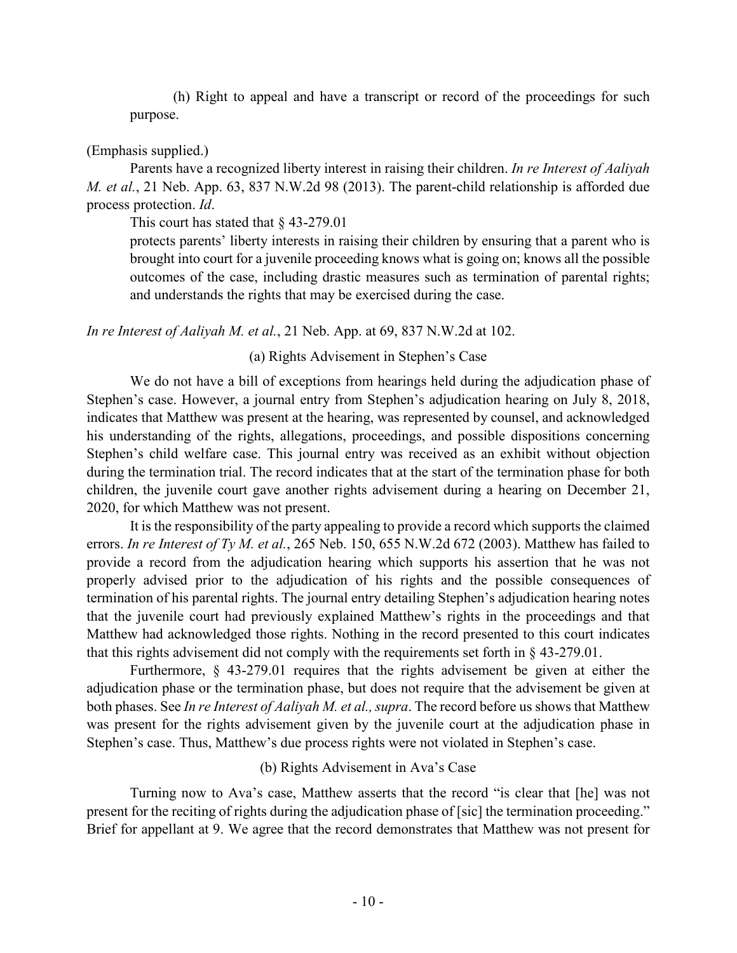(h) Right to appeal and have a transcript or record of the proceedings for such purpose.

## (Emphasis supplied.)

Parents have a recognized liberty interest in raising their children. *In re Interest of Aaliyah M. et al.*, 21 Neb. App. 63, 837 N.W.2d 98 (2013). The parent-child relationship is afforded due process protection. *Id*.

This court has stated that § 43-279.01

protects parents' liberty interests in raising their children by ensuring that a parent who is brought into court for a juvenile proceeding knows what is going on; knows all the possible outcomes of the case, including drastic measures such as termination of parental rights; and understands the rights that may be exercised during the case.

*In re Interest of Aaliyah M. et al.*, 21 Neb. App. at 69, 837 N.W.2d at 102.

## (a) Rights Advisement in Stephen's Case

We do not have a bill of exceptions from hearings held during the adjudication phase of Stephen's case. However, a journal entry from Stephen's adjudication hearing on July 8, 2018, indicates that Matthew was present at the hearing, was represented by counsel, and acknowledged his understanding of the rights, allegations, proceedings, and possible dispositions concerning Stephen's child welfare case. This journal entry was received as an exhibit without objection during the termination trial. The record indicates that at the start of the termination phase for both children, the juvenile court gave another rights advisement during a hearing on December 21, 2020, for which Matthew was not present.

It is the responsibility of the party appealing to provide a record which supports the claimed errors. *In re Interest of Ty M. et al.*, 265 Neb. 150, 655 N.W.2d 672 (2003). Matthew has failed to provide a record from the adjudication hearing which supports his assertion that he was not properly advised prior to the adjudication of his rights and the possible consequences of termination of his parental rights. The journal entry detailing Stephen's adjudication hearing notes that the juvenile court had previously explained Matthew's rights in the proceedings and that Matthew had acknowledged those rights. Nothing in the record presented to this court indicates that this rights advisement did not comply with the requirements set forth in § 43-279.01.

Furthermore, § 43-279.01 requires that the rights advisement be given at either the adjudication phase or the termination phase, but does not require that the advisement be given at both phases. See *In re Interest of Aaliyah M. et al., supra*. The record before us shows that Matthew was present for the rights advisement given by the juvenile court at the adjudication phase in Stephen's case. Thus, Matthew's due process rights were not violated in Stephen's case.

# (b) Rights Advisement in Ava's Case

Turning now to Ava's case, Matthew asserts that the record "is clear that [he] was not present for the reciting of rights during the adjudication phase of [sic] the termination proceeding." Brief for appellant at 9. We agree that the record demonstrates that Matthew was not present for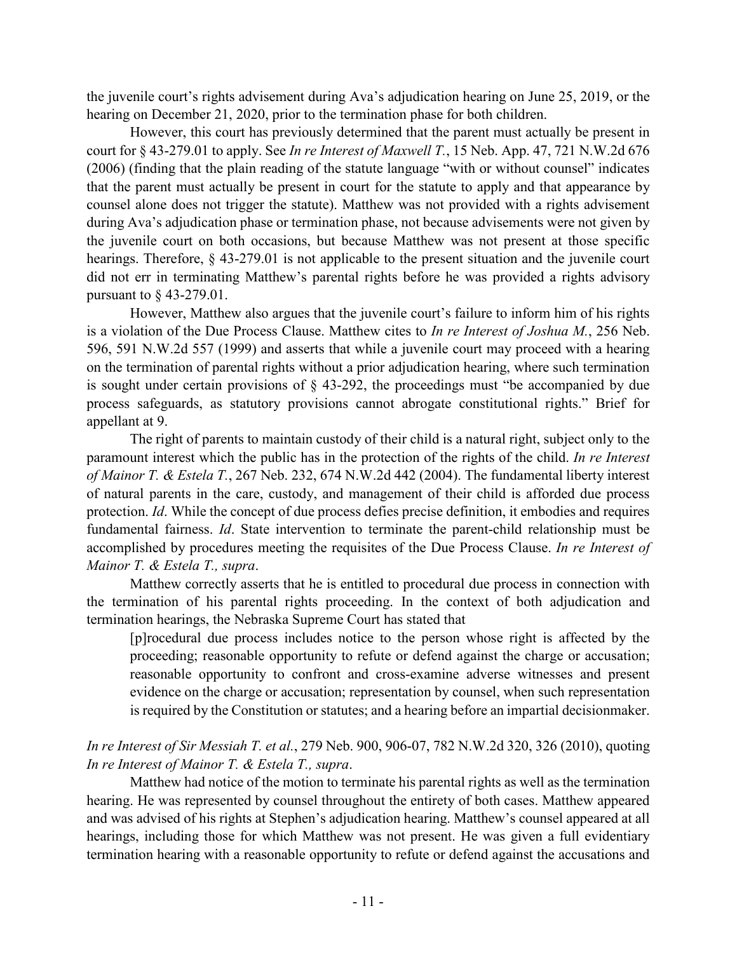the juvenile court's rights advisement during Ava's adjudication hearing on June 25, 2019, or the hearing on December 21, 2020, prior to the termination phase for both children.

However, this court has previously determined that the parent must actually be present in court for § 43-279.01 to apply. See *In re Interest of Maxwell T.*, 15 Neb. App. 47, 721 N.W.2d 676 (2006) (finding that the plain reading of the statute language "with or without counsel" indicates that the parent must actually be present in court for the statute to apply and that appearance by counsel alone does not trigger the statute). Matthew was not provided with a rights advisement during Ava's adjudication phase or termination phase, not because advisements were not given by the juvenile court on both occasions, but because Matthew was not present at those specific hearings. Therefore, § 43-279.01 is not applicable to the present situation and the juvenile court did not err in terminating Matthew's parental rights before he was provided a rights advisory pursuant to § 43-279.01.

However, Matthew also argues that the juvenile court's failure to inform him of his rights is a violation of the Due Process Clause. Matthew cites to *In re Interest of Joshua M.*, 256 Neb. 596, 591 N.W.2d 557 (1999) and asserts that while a juvenile court may proceed with a hearing on the termination of parental rights without a prior adjudication hearing, where such termination is sought under certain provisions of § 43-292, the proceedings must "be accompanied by due process safeguards, as statutory provisions cannot abrogate constitutional rights." Brief for appellant at 9.

The right of parents to maintain custody of their child is a natural right, subject only to the paramount interest which the public has in the protection of the rights of the child. *In re Interest of Mainor T. & Estela T.*, 267 Neb. 232, 674 N.W.2d 442 (2004). The fundamental liberty interest of natural parents in the care, custody, and management of their child is afforded due process protection. *Id*. While the concept of due process defies precise definition, it embodies and requires fundamental fairness. *Id*. State intervention to terminate the parent-child relationship must be accomplished by procedures meeting the requisites of the Due Process Clause. *In re Interest of Mainor T. & Estela T., supra*.

Matthew correctly asserts that he is entitled to procedural due process in connection with the termination of his parental rights proceeding. In the context of both adjudication and termination hearings, the Nebraska Supreme Court has stated that

[p]rocedural due process includes notice to the person whose right is affected by the proceeding; reasonable opportunity to refute or defend against the charge or accusation; reasonable opportunity to confront and cross-examine adverse witnesses and present evidence on the charge or accusation; representation by counsel, when such representation is required by the Constitution or statutes; and a hearing before an impartial decisionmaker.

*In re Interest of Sir Messiah T. et al.*, 279 Neb. 900, 906-07, 782 N.W.2d 320, 326 (2010), quoting *In re Interest of Mainor T. & Estela T., supra*.

Matthew had notice of the motion to terminate his parental rights as well as the termination hearing. He was represented by counsel throughout the entirety of both cases. Matthew appeared and was advised of his rights at Stephen's adjudication hearing. Matthew's counsel appeared at all hearings, including those for which Matthew was not present. He was given a full evidentiary termination hearing with a reasonable opportunity to refute or defend against the accusations and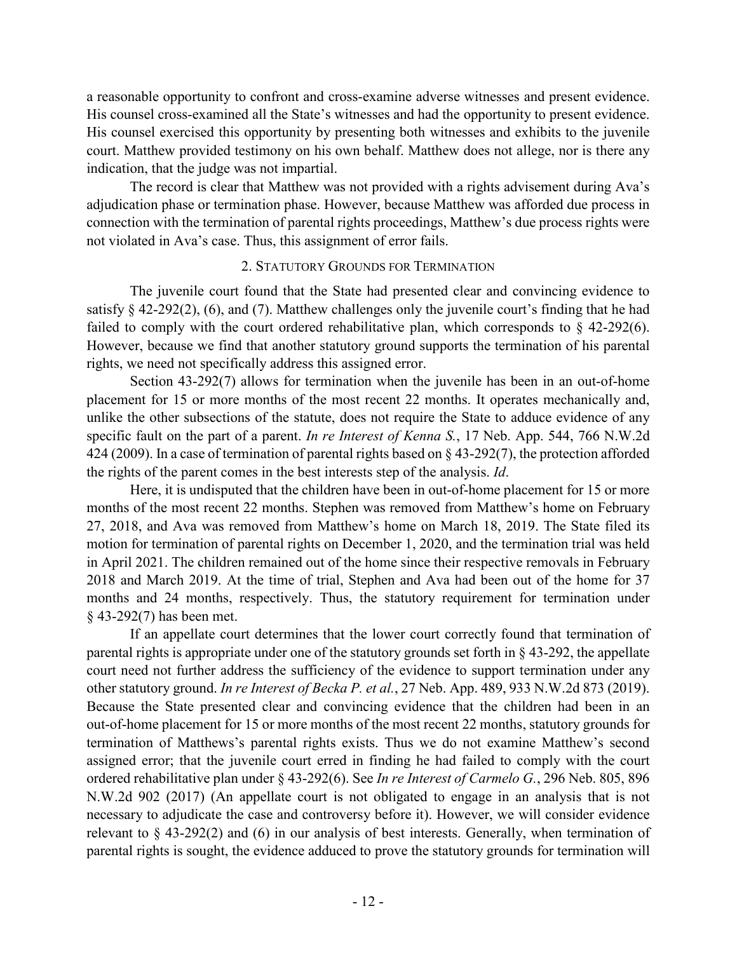a reasonable opportunity to confront and cross-examine adverse witnesses and present evidence. His counsel cross-examined all the State's witnesses and had the opportunity to present evidence. His counsel exercised this opportunity by presenting both witnesses and exhibits to the juvenile court. Matthew provided testimony on his own behalf. Matthew does not allege, nor is there any indication, that the judge was not impartial.

The record is clear that Matthew was not provided with a rights advisement during Ava's adjudication phase or termination phase. However, because Matthew was afforded due process in connection with the termination of parental rights proceedings, Matthew's due process rights were not violated in Ava's case. Thus, this assignment of error fails.

## 2. STATUTORY GROUNDS FOR TERMINATION

The juvenile court found that the State had presented clear and convincing evidence to satisfy § 42-292(2), (6), and (7). Matthew challenges only the juvenile court's finding that he had failed to comply with the court ordered rehabilitative plan, which corresponds to  $\S$  42-292(6). However, because we find that another statutory ground supports the termination of his parental rights, we need not specifically address this assigned error.

Section 43-292(7) allows for termination when the juvenile has been in an out-of-home placement for 15 or more months of the most recent 22 months. It operates mechanically and, unlike the other subsections of the statute, does not require the State to adduce evidence of any specific fault on the part of a parent. *In re Interest of Kenna S.*, 17 Neb. App. 544, 766 N.W.2d 424 (2009). In a case of termination of parental rights based on § 43-292(7), the protection afforded the rights of the parent comes in the best interests step of the analysis. *Id*.

Here, it is undisputed that the children have been in out-of-home placement for 15 or more months of the most recent 22 months. Stephen was removed from Matthew's home on February 27, 2018, and Ava was removed from Matthew's home on March 18, 2019. The State filed its motion for termination of parental rights on December 1, 2020, and the termination trial was held in April 2021. The children remained out of the home since their respective removals in February 2018 and March 2019. At the time of trial, Stephen and Ava had been out of the home for 37 months and 24 months, respectively. Thus, the statutory requirement for termination under § 43-292(7) has been met.

If an appellate court determines that the lower court correctly found that termination of parental rights is appropriate under one of the statutory grounds set forth in § 43-292, the appellate court need not further address the sufficiency of the evidence to support termination under any other statutory ground. *In re Interest of Becka P. et al.*, 27 Neb. App. 489, 933 N.W.2d 873 (2019). Because the State presented clear and convincing evidence that the children had been in an out-of-home placement for 15 or more months of the most recent 22 months, statutory grounds for termination of Matthews's parental rights exists. Thus we do not examine Matthew's second assigned error; that the juvenile court erred in finding he had failed to comply with the court ordered rehabilitative plan under § 43-292(6). See *In re Interest of Carmelo G.*, 296 Neb. 805, 896 N.W.2d 902 (2017) (An appellate court is not obligated to engage in an analysis that is not necessary to adjudicate the case and controversy before it). However, we will consider evidence relevant to § 43-292(2) and (6) in our analysis of best interests. Generally, when termination of parental rights is sought, the evidence adduced to prove the statutory grounds for termination will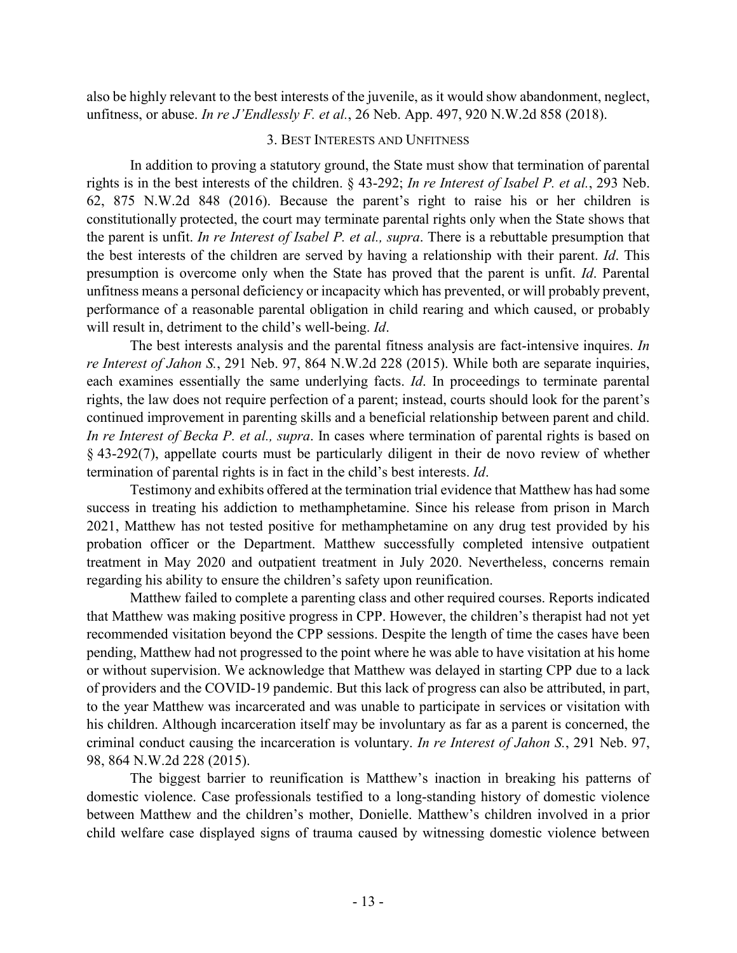also be highly relevant to the best interests of the juvenile, as it would show abandonment, neglect, unfitness, or abuse. *In re J'Endlessly F. et al.*, 26 Neb. App. 497, 920 N.W.2d 858 (2018).

### 3. BEST INTERESTS AND UNFITNESS

In addition to proving a statutory ground, the State must show that termination of parental rights is in the best interests of the children. § 43-292; *In re Interest of Isabel P. et al.*, 293 Neb. 62, 875 N.W.2d 848 (2016). Because the parent's right to raise his or her children is constitutionally protected, the court may terminate parental rights only when the State shows that the parent is unfit. *In re Interest of Isabel P. et al., supra*. There is a rebuttable presumption that the best interests of the children are served by having a relationship with their parent. *Id*. This presumption is overcome only when the State has proved that the parent is unfit. *Id*. Parental unfitness means a personal deficiency or incapacity which has prevented, or will probably prevent, performance of a reasonable parental obligation in child rearing and which caused, or probably will result in, detriment to the child's well-being. *Id*.

The best interests analysis and the parental fitness analysis are fact-intensive inquires. *In re Interest of Jahon S.*, 291 Neb. 97, 864 N.W.2d 228 (2015). While both are separate inquiries, each examines essentially the same underlying facts. *Id*. In proceedings to terminate parental rights, the law does not require perfection of a parent; instead, courts should look for the parent's continued improvement in parenting skills and a beneficial relationship between parent and child. *In re Interest of Becka P. et al., supra*. In cases where termination of parental rights is based on § 43-292(7), appellate courts must be particularly diligent in their de novo review of whether termination of parental rights is in fact in the child's best interests. *Id*.

Testimony and exhibits offered at the termination trial evidence that Matthew has had some success in treating his addiction to methamphetamine. Since his release from prison in March 2021, Matthew has not tested positive for methamphetamine on any drug test provided by his probation officer or the Department. Matthew successfully completed intensive outpatient treatment in May 2020 and outpatient treatment in July 2020. Nevertheless, concerns remain regarding his ability to ensure the children's safety upon reunification.

Matthew failed to complete a parenting class and other required courses. Reports indicated that Matthew was making positive progress in CPP. However, the children's therapist had not yet recommended visitation beyond the CPP sessions. Despite the length of time the cases have been pending, Matthew had not progressed to the point where he was able to have visitation at his home or without supervision. We acknowledge that Matthew was delayed in starting CPP due to a lack of providers and the COVID-19 pandemic. But this lack of progress can also be attributed, in part, to the year Matthew was incarcerated and was unable to participate in services or visitation with his children. Although incarceration itself may be involuntary as far as a parent is concerned, the criminal conduct causing the incarceration is voluntary. *In re Interest of Jahon S.*, 291 Neb. 97, 98, 864 N.W.2d 228 (2015).

The biggest barrier to reunification is Matthew's inaction in breaking his patterns of domestic violence. Case professionals testified to a long-standing history of domestic violence between Matthew and the children's mother, Donielle. Matthew's children involved in a prior child welfare case displayed signs of trauma caused by witnessing domestic violence between